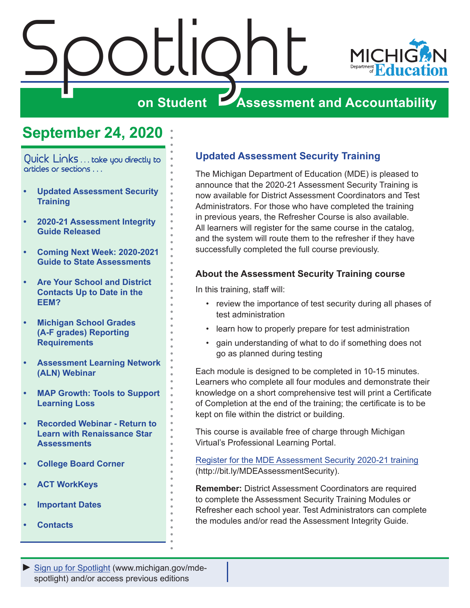# <span id="page-0-0"></span>Spotlight



### **on Student Assessment and Accountability**

## **September 24, 2020**

Quick Links ... take you directly to articles or sections . . .

- **• Updated Assessment Security Training**
- **• [2020-21 Assessment Integrity](#page-1-0)  [Guide Released](#page-1-0)**
- **• [Coming Next Week: 2020-2021](#page-1-0)  [Guide to State Assessments](#page-1-0)**
- **• [Are Your School and District](#page-1-0)  [Contacts Up to Date in the](#page-1-0)  [EEM?](#page-1-0)**
- **• [Michigan School Grades](#page-3-0)  [\(A-F grades\) Reporting](#page-3-0)  [Requirements](#page-3-0)**
- **• [Assessment Learning Network](#page-3-0)  [\(ALN\) Webinar](#page-3-0)**
- **• [MAP Growth: Tools to Support](#page-3-0)  [Learning Loss](#page-3-0)**
- **• [Recorded Webinar Return to](#page-4-0)  [Learn with Renaissance Star](#page-4-0)  [Assessments](#page-4-0)**
- **• [College Board Corner](#page-5-0)**
- **• [ACT WorkKeys](#page-7-0)**
- **• [Important Dates](#page-8-0)**
- **• [Contacts](#page-9-0)**

#### **Updated Assessment Security Training**

The Michigan Department of Education (MDE) is pleased to announce that the 2020-21 Assessment Security Training is now available for District Assessment Coordinators and Test Administrators. For those who have completed the training in previous years, the Refresher Course is also available. All learners will register for the same course in the catalog, and the system will route them to the refresher if they have successfully completed the full course previously.

#### **About the Assessment Security Training course**

In this training, staff will:

- review the importance of test security during all phases of test administration
- learn how to properly prepare for test administration
- gain understanding of what to do if something does not go as planned during testing

Each module is designed to be completed in 10-15 minutes. Learners who complete all four modules and demonstrate their knowledge on a short comprehensive test will print a Certificate of Completion at the end of the training; the certificate is to be kept on file within the district or building.

This course is available free of charge through Michigan Virtual's Professional Learning Portal.

[Register for the MDE Assessment Security 2020-21 training](http://bit.ly/MDEAssessmentSecurity) (http://bit.ly/MDEAssessmentSecurity).

**Remember:** District Assessment Coordinators are required to complete the Assessment Security Training Modules or Refresher each school year. Test Administrators can complete the modules and/or read the Assessment Integrity Guide.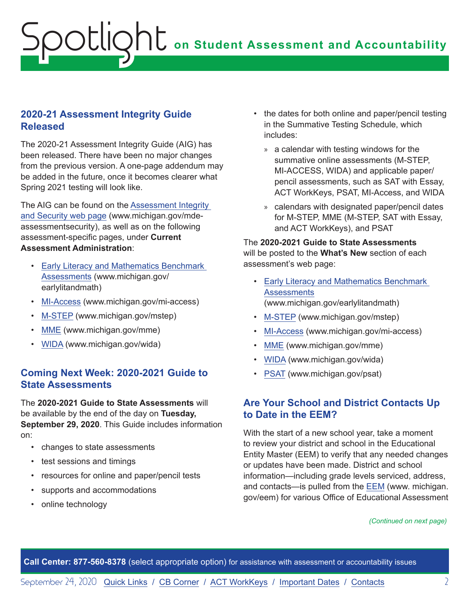#### <span id="page-1-0"></span>**2020-21 Assessment Integrity Guide Released**

The 2020-21 Assessment Integrity Guide (AIG) has been released. There have been no major changes from the previous version. A one-page addendum may be added in the future, once it becomes clearer what Spring 2021 testing will look like.

The AIG can be found on the [Assessment Integrity](http://www.michigan.gov/mde-assessmentsecurity)  [and Security web page](http://www.michigan.gov/mde-assessmentsecurity) (www.michigan.gov/mdeassessmentsecurity), as well as on the following assessment-specific pages, under **Current Assessment Administration**:

- [Early Literacy and Mathematics Benchmark](www.michigan.gov/earlylitandmath)  [Assessments](www.michigan.gov/earlylitandmath) (www.michigan.gov/ earlylitandmath)
- [MI-Access](http://www.michigan.gov/mi-access) (www.michigan.gov/mi-access)
- [M-STEP](www.michigan.gov/mstep) (www.michigan.gov/mstep)
- [MME](www.michigan.gov/mme) (www.michigan.gov/mme)
- [WIDA](www.michigan.gov/wida) (www.michigan.gov/wida)

#### **Coming Next Week: 2020-2021 Guide to State Assessments**

The **2020-2021 Guide to State Assessments** will be available by the end of the day on **Tuesday, September 29, 2020**. This Guide includes information on:

- changes to state assessments
- test sessions and timings
- resources for online and paper/pencil tests
- supports and accommodations
- online technology
- the dates for both online and paper/pencil testing in the Summative Testing Schedule, which includes:
	- » a calendar with testing windows for the summative online assessments (M-STEP, MI-ACCESS, WIDA) and applicable paper/ pencil assessments, such as SAT with Essay, ACT WorkKeys, PSAT, MI-Access, and WIDA
	- » calendars with designated paper/pencil dates for M-STEP, MME (M-STEP, SAT with Essay, and ACT WorkKeys), and PSAT

The **2020-2021 Guide to State Assessments** will be posted to the **What's New** section of each assessment's web page:

- [Early Literacy and Mathematics Benchmark](www.michigan.gov/earlylitandmath)  **[Assessments](www.michigan.gov/earlylitandmath)** (www.michigan.gov/earlylitandmath)
- [M-STEP](www.michigan.gov/mstep) (www.michigan.gov/mstep)
- [MI-Access](http://www.michigan.gov/mi-access) (www.michigan.gov/mi-access)
- [MME](www.michigan.gov/mme) (www.michigan.gov/mme)
- [WIDA](www.michigan.gov/wida) (www.michigan.gov/wida)
- [PSAT](http://www.michigan.gov/psat) (www.michigan.gov/psat)

#### **Are Your School and District Contacts Up to Date in the EEM?**

With the start of a new school year, take a moment to review your district and school in the Educational Entity Master (EEM) to verify that any needed changes or updates have been made. District and school information—including grade levels serviced, address, and contacts—is pulled from the [EEM](www.michigan.gov/EEM) (www. michigan. gov/eem) for various Office of Educational Assessment

#### *(Continued on next page)*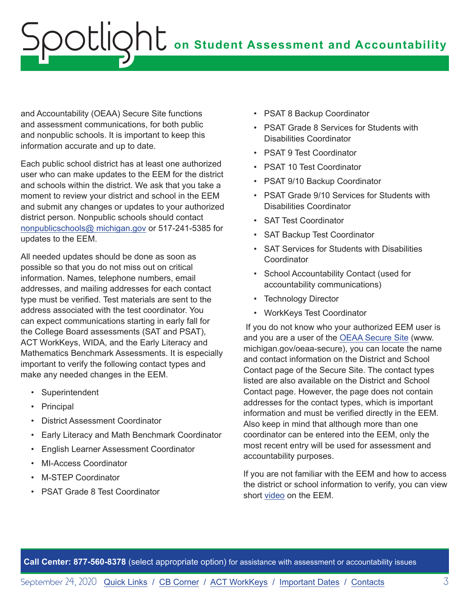and Accountability (OEAA) Secure Site functions and assessment communications, for both public and nonpublic schools. It is important to keep this information accurate and up to date.

Each public school district has at least one authorized user who can make updates to the EEM for the district and schools within the district. We ask that you take a moment to review your district and school in the EEM and submit any changes or updates to your authorized district person. Nonpublic schools should contact [nonpublicschools@ michigan.gov](mailto:nonpublicschools%40%20michigan.gov?subject=) or 517-241-5385 for updates to the EEM.

All needed updates should be done as soon as possible so that you do not miss out on critical information. Names, telephone numbers, email addresses, and mailing addresses for each contact type must be verified. Test materials are sent to the address associated with the test coordinator. You can expect communications starting in early fall for the College Board assessments (SAT and PSAT), ACT WorkKeys, WIDA, and the Early Literacy and Mathematics Benchmark Assessments. It is especially important to verify the following contact types and make any needed changes in the EEM.

- Superintendent
- Principal
- District Assessment Coordinator
- Early Literacy and Math Benchmark Coordinator
- English Learner Assessment Coordinator
- MI-Access Coordinator
- M-STEP Coordinator
- PSAT Grade 8 Test Coordinator
- PSAT 8 Backup Coordinator
- PSAT Grade 8 Services for Students with Disabilities Coordinator
- PSAT 9 Test Coordinator
- PSAT 10 Test Coordinator
- PSAT 9/10 Backup Coordinator
- PSAT Grade 9/10 Services for Students with Disabilities Coordinator
- SAT Test Coordinator
- SAT Backup Test Coordinator
- SAT Services for Students with Disabilities **Coordinator**
- School Accountability Contact (used for accountability communications)
- Technology Director
- WorkKeys Test Coordinator

 If you do not know who your authorized EEM user is and you are a user of the [OEAA Secure Site](http://www.michigan.gov/oeaa-secure) (www. michigan.gov/oeaa-secure), you can locate the name and contact information on the District and School Contact page of the Secure Site. The contact types listed are also available on the District and School Contact page. However, the page does not contain addresses for the contact types, which is important information and must be verified directly in the EEM. Also keep in mind that although more than one coordinator can be entered into the EEM, only the most recent entry will be used for assessment and accountability purposes.

If you are not familiar with the EEM and how to access the district or school information to verify, you can view short [video](https://youtu.be/LpvZyYzzSxo) on the EEM.

**Call Center: 877-560-8378** (select appropriate option) for assistance with assessment or accountability issues

September 24, 2020 [Quick Links](#page-0-0) / [CB Corner](#page-5-1) / [ACT WorkKeys](#page-7-1) / [Important Dates](#page-8-1) / [Contacts](#page-9-1) 3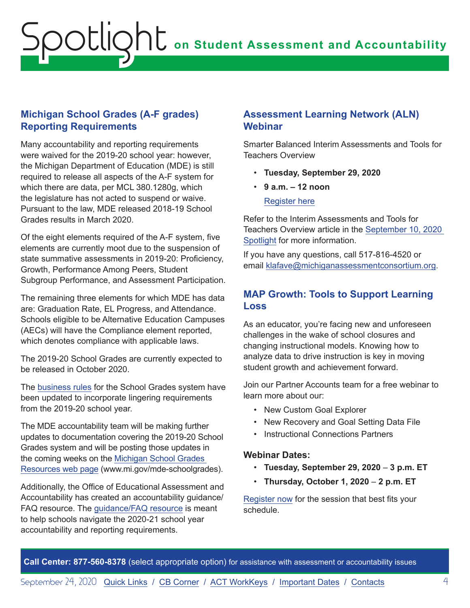#### <span id="page-3-0"></span>**Michigan School Grades (A-F grades) Reporting Requirements**

Many accountability and reporting requirements were waived for the 2019-20 school year: however, the Michigan Department of Education (MDE) is still required to release all aspects of the A-F system for which there are data, per MCL 380.1280g, which the legislature has not acted to suspend or waive. Pursuant to the law, MDE released 2018-19 School Grades results in March 2020.

Of the eight elements required of the A-F system, five elements are currently moot due to the suspension of state summative assessments in 2019-20: Proficiency, Growth, Performance Among Peers, Student Subgroup Performance, and Assessment Participation.

The remaining three elements for which MDE has data are: Graduation Rate, EL Progress, and Attendance. Schools eligible to be Alternative Education Campuses (AECs) will have the Compliance element reported, which denotes compliance with applicable laws.

The 2019-20 School Grades are currently expected to be released in October 2020.

The [business rules](https://www.michigan.gov/documents/mde/Michigan_School_Grades_System_Business_Rules_682895_7.pdf) for the School Grades system have been updated to incorporate lingering requirements from the 2019-20 school year.

The MDE accountability team will be making further updates to documentation covering the 2019-20 School Grades system and will be posting those updates in the coming weeks on the [Michigan School Grades](http://www.mi.gov/mde-schoolgrades)  [Resources web page](http://www.mi.gov/mde-schoolgrades) (www.mi.gov/mde-schoolgrades).

Additionally, the Office of Educational Assessment and Accountability has created an accountability guidance/ FAQ resource. The [guidance/FAQ resource](https://www.michigan.gov/documents/mde/Michigan_School_Accountability_Planning_and_Response_to_COVID-19_701197_7.pdf) is meant to help schools navigate the 2020-21 school year accountability and reporting requirements.

#### **Assessment Learning Network (ALN) Webinar**

Smarter Balanced Interim Assessments and Tools for Teachers Overview

- **Tuesday, September 29, 2020**
- **9 a.m. 12 noon**

[Regist](https://www.michiganassessmentconsortium.org/event/interim-assessment-and-tools-for-teachers-overview/)er here

Refer to the Interim Assessments and Tools for Teachers Overview article in the [September 10, 2020](https://www.michigan.gov/documents/mde/Spotlight_9-10-20_701997_7.pdf)  [Spotlight](https://www.michigan.gov/documents/mde/Spotlight_9-10-20_701997_7.pdf) for more information.

If you have any questions, call 517-816-4520 or email [klafave@michiganassessmentconsortium.org](mailto:klafave%40michiganassessmentconsortium.org?subject=).

#### **MAP Growth: Tools to Support Learning Loss**

As an educator, you're facing new and unforeseen challenges in the wake of school closures and changing instructional models. Knowing how to analyze data to drive instruction is key in moving student growth and achievement forward.

Join our Partner Accounts team for a free webinar to learn more about our:

- New Custom Goal Explorer
- New Recovery and Goal Setting Data File
- Instructional Connections Partners

#### **Webinar Dates:**

- **Tuesday, September 29, 2020** – **3 p.m. ET**
- **Thursday, October 1, 2020 2 p.m. ET**

[Register now](https://info.nwea.org/WB2020-09CurrentPartnerWebinars_LP-Reg.html) for the session that best fits your schedule.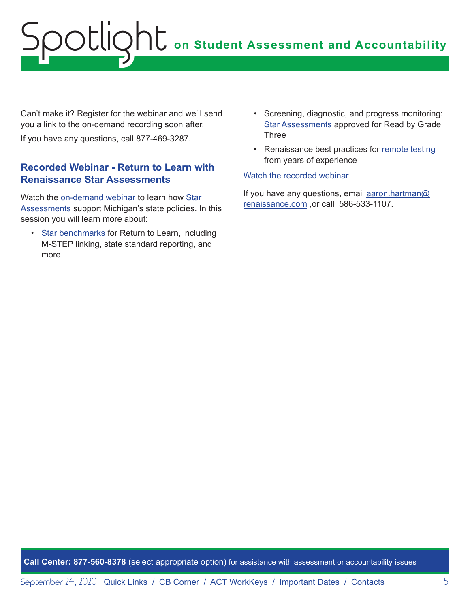<span id="page-4-0"></span>Can't make it? Register for the webinar and we'll send you a link to the on-demand recording soon after.

If you have any questions, call 877-469-3287.

#### **Recorded Webinar - Return to Learn with Renaissance Star Assessments**

Watch the [on-demand webinar](https://renaissance.zoom.us/webinar/register/rec/WN_p8CoqHw9SCucsMDVL0n6Lw?meetingId=tjKMAD1Pz0q-6OosGGgG6ZltNl2dEJleibAd3eVaj998P4xxyx1y3PPTj7UTtIU5.tbyeoOogWFCd6xCB&playId=&action=play&_x_zm_rtaid=435OrU-STNyQnLnxqWM9FA.1600699223184.cdfc783cc1165c43d2d75bdbd67c80ad&_x_zm_rhtaid=177) to learn how [Star](https://www.renaissance.com/products/star-assessments/)  [Assessments](https://www.renaissance.com/products/star-assessments/) support Michigan's state policies. In this session you will learn more about:

• [Star benchmarks](https://www.michigan.gov/mde/0,4615,7-140-22709_102327---,00.html) for Return to Learn, including M-STEP linking, state standard reporting, and more

- Screening, diagnostic, and progress monitoring: [Star Assessments](https://renaissance.widen.net/s/e3ad9bsg6t) approved for Read by Grade Three
- Renaissance best practices for [remote testing](https://www.renaissance.com/webinar/best-practices-for-remote-testing/) from years of experience

#### [Watch the recorded webinar](https://renaissance.zoom.us/webinar/register/rec/WN_p8CoqHw9SCucsMDVL0n6Lw?meetingId=tQKmvxt0b4LQWzOnkbR7Lmirsr83LUTNArHE3EhwjO5a7mgEeIw38e0UqYCHVvq5.NnIJpaR5JXNmGKyr&playId=&action=play&_x_zm_rtaid=XCigUKvKT0mDR5VfczrkCQ.1600879706841.6a04f4796a13a33b65af08e83045bddb&_x_zm_rhtaid=664)

If you have any questions, email [aaron.hartman@](mailto:aaron.hartman%40renaissance.com?subject=) [renaissance.com](mailto:aaron.hartman%40renaissance.com?subject=) ,or call 586-533-1107.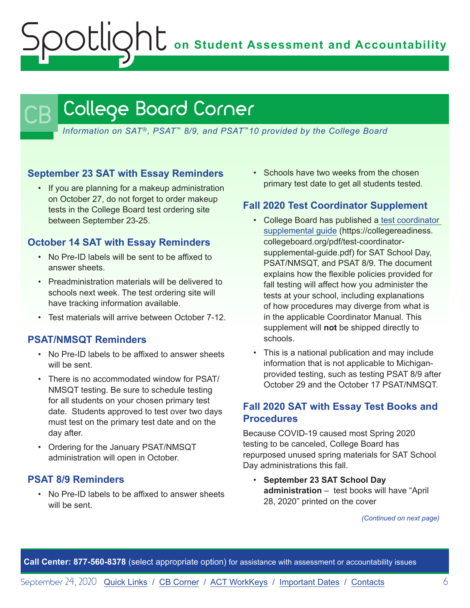**on Student Assessment and Accountability**

## <span id="page-5-1"></span>College Board Corner

*Information on SAT*®*, PSAT*™ *8/9, and PSAT*™*10 provided by the College Board*

#### **September 23 SAT with Essay Reminders**

<span id="page-5-0"></span>potlic

• If you are planning for a makeup administration on October 27, do not forget to order makeup tests in the College Board test ordering site between September 23-25.

#### **October 14 SAT with Essay Reminders**

- No Pre-ID labels will be sent to be affixed to answer sheets.
- Preadministration materials will be delivered to schools next week. The test ordering site will have tracking information available.
- Test materials will arrive between October 7-12.

#### **PSAT/NMSQT Reminders**

- No Pre-ID labels to be affixed to answer sheets will be sent.
- There is no accommodated window for PSAT/ NMSQT testing. Be sure to schedule testing for all students on your chosen primary test date. Students approved to test over two days must test on the primary test date and on the day after.
- Ordering for the January PSAT/NMSQT administration will open in October.

#### **PSAT 8/9 Reminders**

• No Pre-ID labels to be affixed to answer sheets will be sent.

• Schools have two weeks from the chosen primary test date to get all students tested.

#### **Fall 2020 Test Coordinator Supplement**

- College Board has published a [test coordinator](https://collegereadiness.collegeboard.org/pdf/test-coordinator-supplemental-guide.pdf)  [supplemental guide](https://collegereadiness.collegeboard.org/pdf/test-coordinator-supplemental-guide.pdf) (https://collegereadiness. collegeboard.org/pdf/test-coordinatorsupplemental-guide.pdf) for SAT School Day, PSAT/NMSQT, and PSAT 8/9. The document explains how the flexible policies provided for fall testing will affect how you administer the tests at your school, including explanations of how procedures may diverge from what is in the applicable Coordinator Manual. This supplement will **not** be shipped directly to schools.
- This is a national publication and may include information that is not applicable to Michiganprovided testing, such as testing PSAT 8/9 after October 29 and the October 17 PSAT/NMSQT.

#### **Fall 2020 SAT with Essay Test Books and Procedures**

Because COVID-19 caused most Spring 2020 testing to be canceled, College Board has repurposed unused spring materials for SAT School Day administrations this fall.

• **September 23 SAT School Day administration** – test books will have "April 28, 2020" printed on the cover

*(Continued on next page)*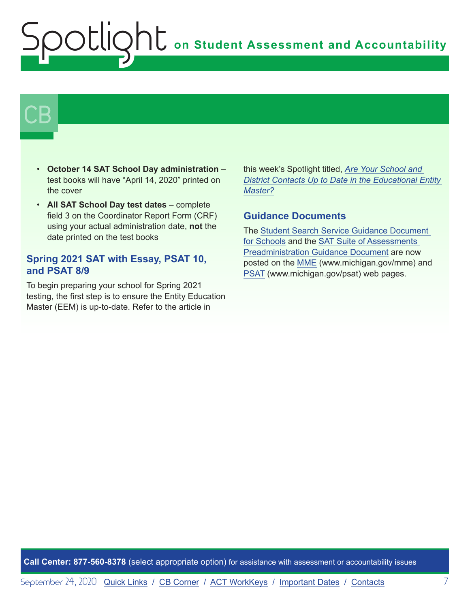# $\mathsf{CB}\mid$

- **October 14 SAT School Day administration** test books will have "April 14, 2020" printed on the cover
- **All SAT School Day test dates** complete field 3 on the Coordinator Report Form (CRF) using your actual administration date, **not** the date printed on the test books

#### **Spring 2021 SAT with Essay, PSAT 10, and PSAT 8/9**

To begin preparing your school for Spring 2021 testing, the first step is to ensure the Entity Education Master (EEM) is up-to-date. Refer to the article in

this week's Spotlight titled, *[Are Your School and](#page-1-0)  [District Contacts Up to Date in the Educational Entity](#page-1-0)  [Master?](#page-1-0)*

#### **Guidance Documents**

The [Student Search Service Guidance Document](https://www.michigan.gov/documents/mde/Student_Search_Service_Guidance_Document_694980_7.pdf)  [for Schools](https://www.michigan.gov/documents/mde/Student_Search_Service_Guidance_Document_694980_7.pdf) and the [SAT Suite of Assessments](https://www.michigan.gov/documents/mde/SAT_Preadministration_Guidance_Document_703169_7.pdf)  [Preadministration Guidance Document](https://www.michigan.gov/documents/mde/SAT_Preadministration_Guidance_Document_703169_7.pdf) are now posted on the [MME](www.michigan.gov/mme) (www.michigan.gov/mme) and [PSAT](http://www.michigan.gov/psat) (www.michigan.gov/psat) web pages.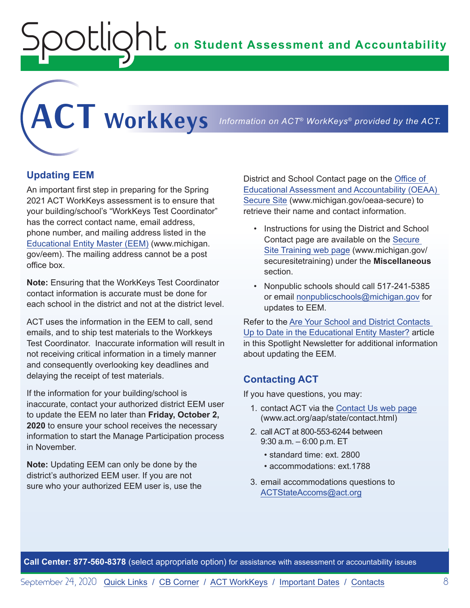**on Student Assessment and Accountability**

<span id="page-7-1"></span>**ACT WorkKeys** *Information on ACT® WorkKeys® provided by the ACT.*

**Updating EEM**

<span id="page-7-0"></span>Spotlight

An important first step in preparing for the Spring 2021 ACT WorkKeys assessment is to ensure that your building/school's "WorkKeys Test Coordinator" has the correct contact name, email address, phone number, and mailing address listed in the [Educational Entity Master \(EEM\)](www.michigan.gov/EEM) (www.michigan. gov/eem). The mailing address cannot be a post office box.

**Note:** Ensuring that the WorkKeys Test Coordinator contact information is accurate must be done for each school in the district and not at the district level.

ACT uses the information in the EEM to call, send emails, and to ship test materials to the Workkeys Test Coordinator. Inaccurate information will result in not receiving critical information in a timely manner and consequently overlooking key deadlines and delaying the receipt of test materials.

If the information for your building/school is inaccurate, contact your authorized district EEM user to update the EEM no later than **Friday, October 2, 2020** to ensure your school receives the necessary information to start the Manage Participation process in November.

**Note:** Updating EEM can only be done by the district's authorized EEM user. If you are not sure who your authorized EEM user is, use the District and School Contact page on the [Office of](http://www.michigan.gov/oeaa-secure)  [Educational Assessment and Accountability \(OEAA\)](http://www.michigan.gov/oeaa-secure)  [Secure Site](http://www.michigan.gov/oeaa-secure) (www.michigan.gov/oeaa-secure) to retrieve their name and contact information.

- Instructions for using the District and School Contact page are available on the [Secure](http://www.michigan.gov/securesitetraining)  [Site Training web page](http://www.michigan.gov/securesitetraining) (www.michigan.gov/ securesitetraining) under the **Miscellaneous** section.
- Nonpublic schools should call 517-241-5385 or email [nonpublicschools@michigan.gov](mailto:nonpublicschools%40michigan.gov?subject=) for updates to EEM.

Refer to the [Are Your School and District Contacts](#page-1-0)  [Up to Date in the Educational Entity Master?](#page-1-0) article in this Spotlight Newsletter for additional information about updating the EEM.

#### **Contacting ACT**

If you have questions, you may:

- 1. contact ACT via the [Contact Us web page](http://www.act.org/aap/state/contact.html) [\(www.act.org/aap/state/contact.html\)](https://www.act.org/aap/state/contact.html)
- 2. call ACT at 800-553-6244 between 9:30 a.m. – 6:00 p.m. ET
	- standard time: ext. 2800
	- accommodations: ext.1788
- 3. email accommodations questions to [ACTStateAccoms@act.org](mailto:ACTStateAccoms%40act.org?subject=)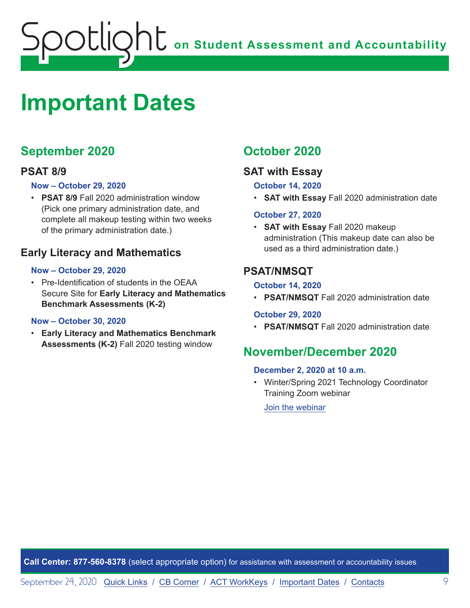<span id="page-8-0"></span>

## <span id="page-8-1"></span>**Important Dates**

#### **September 2020**

#### **PSAT 8/9**

#### **Now – October 29, 2020**

• **PSAT 8/9** Fall 2020 administration window (Pick one primary administration date, and complete all makeup testing within two weeks of the primary administration date.)

#### **Early Literacy and Mathematics**

#### **Now – October 29, 2020**

• Pre-Identification of students in the OEAA Secure Site for **Early Literacy and Mathematics Benchmark Assessments (K-2)**

#### **Now – October 30, 2020**

• **Early Literacy and Mathematics Benchmark Assessments (K-2)** Fall 2020 testing window

#### **October 2020**

#### **SAT with Essay**

#### **October 14, 2020**

• **SAT with Essay** Fall 2020 administration date

#### **October 27, 2020**

• **SAT with Essay** Fall 2020 makeup administration (This makeup date can also be used as a third administration date.)

#### **PSAT/NMSQT**

#### **October 14, 2020**

• **PSAT/NMSQT** Fall 2020 administration date

#### **October 29, 2020**

• **PSAT/NMSQT** Fall 2020 administration date

#### **November/December 2020**

#### **December 2, 2020 at 10 a.m.**

• Winter/Spring 2021 Technology Coordinator Training Zoom webinar

[Join the webinar](https://datarecognitioncorp.zoom.us/j/99441419689)